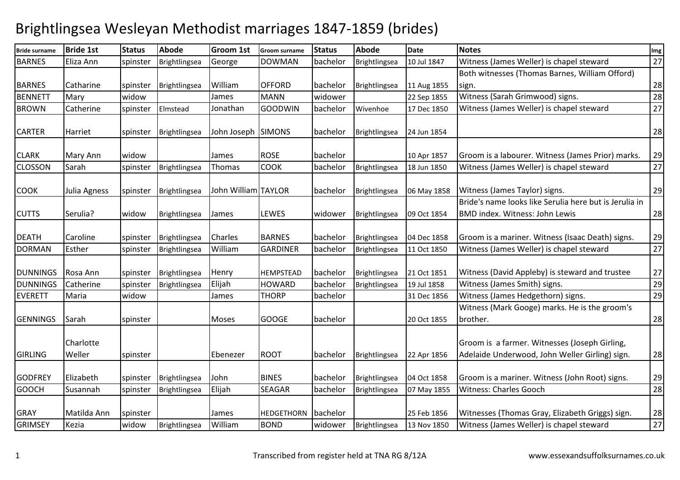## Brightlingsea Wesleyan Methodist marriages 1847-1859 (brides)

| <b>Bride surname</b> | <b>Bride 1st</b>    | <b>Status</b> | <b>Abode</b>  | <b>Groom 1st</b>    | Groom surname     | <b>Status</b> | <b>Abode</b>  | <b>Date</b> | <b>Notes</b>                                                                                    | Img |
|----------------------|---------------------|---------------|---------------|---------------------|-------------------|---------------|---------------|-------------|-------------------------------------------------------------------------------------------------|-----|
| <b>BARNES</b>        | Eliza Ann           | spinster      | Brightlingsea | George              | <b>DOWMAN</b>     | bachelor      | Brightlingsea | 10 Jul 1847 | Witness (James Weller) is chapel steward                                                        | 27  |
|                      |                     |               |               |                     |                   |               |               |             | Both witnesses (Thomas Barnes, William Offord)                                                  |     |
| <b>BARNES</b>        | Catharine           | spinster      | Brightlingsea | William             | <b>OFFORD</b>     | bachelor      | Brightlingsea | 11 Aug 1855 | sign.                                                                                           | 28  |
| <b>BENNETT</b>       | Mary                | widow         |               | James               | <b>MANN</b>       | widower       |               | 22 Sep 1855 | Witness (Sarah Grimwood) signs.                                                                 | 28  |
| <b>BROWN</b>         | Catherine           | spinster      | Elmstead      | Jonathan            | <b>GOODWIN</b>    | bachelor      | Wivenhoe      | 17 Dec 1850 | Witness (James Weller) is chapel steward                                                        | 27  |
| <b>CARTER</b>        | Harriet             | spinster      | Brightlingsea | John Joseph SIMONS  |                   | bachelor      | Brightlingsea | 24 Jun 1854 |                                                                                                 | 28  |
| <b>CLARK</b>         | Mary Ann            | widow         |               | James               | <b>ROSE</b>       | bachelor      |               | 10 Apr 1857 | Groom is a labourer. Witness (James Prior) marks.                                               | 29  |
| <b>CLOSSON</b>       | Sarah               | spinster      | Brightlingsea | Thomas              | <b>COOK</b>       | bachelor      | Brightlingsea | 18 Jun 1850 | Witness (James Weller) is chapel steward                                                        | 27  |
| <b>COOK</b>          | Julia Agness        | spinster      | Brightlingsea | John William TAYLOR |                   | bachelor      | Brightlingsea | 06 May 1858 | Witness (James Taylor) signs.                                                                   | 29  |
| <b>CUTTS</b>         | Serulia?            | widow         | Brightlingsea | James               | LEWES             | widower       | Brightlingsea | 09 Oct 1854 | Bride's name looks like Serulia here but is Jerulia in<br><b>BMD index. Witness: John Lewis</b> | 28  |
| <b>DEATH</b>         | Caroline            | spinster      | Brightlingsea | Charles             | <b>BARNES</b>     | bachelor      | Brightlingsea | 04 Dec 1858 | Groom is a mariner. Witness (Isaac Death) signs.                                                | 29  |
| <b>DORMAN</b>        | Esther              | spinster      | Brightlingsea | William             | <b>GARDINER</b>   | bachelor      | Brightlingsea | 11 Oct 1850 | Witness (James Weller) is chapel steward                                                        | 27  |
| <b>DUNNINGS</b>      | Rosa Ann            | spinster      | Brightlingsea | Henry               | HEMPSTEAD         | bachelor      | Brightlingsea | 21 Oct 1851 | Witness (David Appleby) is steward and trustee                                                  | 27  |
| <b>DUNNINGS</b>      | Catherine           | spinster      | Brightlingsea | Elijah              | <b>HOWARD</b>     | bachelor      | Brightlingsea | 19 Jul 1858 | Witness (James Smith) signs.                                                                    | 29  |
| <b>EVERETT</b>       | Maria               | widow         |               | James               | <b>THORP</b>      | bachelor      |               | 31 Dec 1856 | Witness (James Hedgethorn) signs.                                                               | 29  |
| <b>GENNINGS</b>      | Sarah               | spinster      |               | Moses               | <b>GOOGE</b>      | bachelor      |               | 20 Oct 1855 | Witness (Mark Googe) marks. He is the groom's<br>brother.                                       | 28  |
| <b>GIRLING</b>       | Charlotte<br>Weller | spinster      |               | Ebenezer            | <b>ROOT</b>       | bachelor      | Brightlingsea | 22 Apr 1856 | Groom is a farmer. Witnesses (Joseph Girling,<br>Adelaide Underwood, John Weller Girling) sign. | 28  |
| <b>GODFREY</b>       | Elizabeth           | spinster      | Brightlingsea | John                | <b>BINES</b>      | bachelor      | Brightlingsea | 04 Oct 1858 | Groom is a mariner. Witness (John Root) signs.                                                  | 29  |
| <b>GOOCH</b>         | Susannah            | spinster      | Brightlingsea | Elijah              | <b>SEAGAR</b>     | bachelor      | Brightlingsea | 07 May 1855 | <b>Witness: Charles Gooch</b>                                                                   | 28  |
| <b>GRAY</b>          | Matilda Ann         | spinster      |               | James               | <b>HEDGETHORN</b> | bachelor      |               | 25 Feb 1856 | Witnesses (Thomas Gray, Elizabeth Griggs) sign.                                                 | 28  |
| <b>GRIMSEY</b>       | Kezia               | widow         | Brightlingsea | William             | <b>BOND</b>       | widower       | Brightlingsea | 13 Nov 1850 | Witness (James Weller) is chapel steward                                                        | 27  |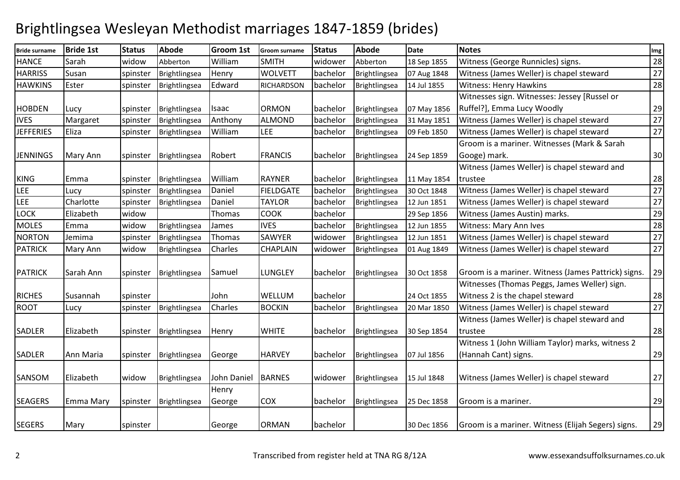## Brightlingsea Wesleyan Methodist marriages 1847-1859 (brides)

| <b>Bride surname</b> | <b>Bride 1st</b> | <b>Status</b> | <b>Abode</b>  | <b>Groom 1st</b> | Groom surname     | <b>Status</b> | <b>Abode</b>  | <b>Date</b> | <b>Notes</b>                                        | Img |
|----------------------|------------------|---------------|---------------|------------------|-------------------|---------------|---------------|-------------|-----------------------------------------------------|-----|
| <b>HANCE</b>         | Sarah            | widow         | Abberton      | William          | <b>SMITH</b>      | widower       | Abberton      | 18 Sep 1855 | Witness (George Runnicles) signs.                   | 28  |
| <b>HARRISS</b>       | Susan            | spinster      | Brightlingsea | Henry            | <b>WOLVETT</b>    | bachelor      | Brightlingsea | 07 Aug 1848 | Witness (James Weller) is chapel steward            | 27  |
| <b>HAWKINS</b>       | Ester            | spinster      | Brightlingsea | Edward           | <b>RICHARDSON</b> | bachelor      | Brightlingsea | 14 Jul 1855 | Witness: Henry Hawkins                              | 28  |
|                      |                  |               |               |                  |                   |               |               |             | Witnesses sign. Witnesses: Jessey [Russel or        |     |
| <b>HOBDEN</b>        | Lucy             | spinster      | Brightlingsea | Isaac            | <b>ORMON</b>      | bachelor      | Brightlingsea | 07 May 1856 | Ruffel?], Emma Lucy Woodly                          | 29  |
| <b>IVES</b>          | Margaret         | spinster      | Brightlingsea | Anthony          | <b>ALMOND</b>     | bachelor      | Brightlingsea | 31 May 1851 | Witness (James Weller) is chapel steward            | 27  |
| <b>JEFFERIES</b>     | Eliza            | spinster      | Brightlingsea | William          | LEE               | bachelor      | Brightlingsea | 09 Feb 1850 | Witness (James Weller) is chapel steward            | 27  |
|                      |                  |               |               |                  |                   |               |               |             | Groom is a mariner. Witnesses (Mark & Sarah         |     |
| <b>JENNINGS</b>      | Mary Ann         | spinster      | Brightlingsea | Robert           | <b>FRANCIS</b>    | bachelor      | Brightlingsea | 24 Sep 1859 | Googe) mark.                                        | 30  |
|                      |                  |               |               |                  |                   |               |               |             | Witness (James Weller) is chapel steward and        |     |
| <b>KING</b>          | Emma             | spinster      | Brightlingsea | William          | <b>RAYNER</b>     | bachelor      | Brightlingsea | 11 May 1854 | trustee                                             | 28  |
| <b>LEE</b>           | Lucy             | spinster      | Brightlingsea | Daniel           | <b>FIELDGATE</b>  | bachelor      | Brightlingsea | 30 Oct 1848 | Witness (James Weller) is chapel steward            | 27  |
| LEE                  | Charlotte        | spinster      | Brightlingsea | Daniel           | <b>TAYLOR</b>     | bachelor      | Brightlingsea | 12 Jun 1851 | Witness (James Weller) is chapel steward            | 27  |
| LOCK                 | Elizabeth        | widow         |               | Thomas           | <b>COOK</b>       | bachelor      |               | 29 Sep 1856 | Witness (James Austin) marks.                       | 29  |
| <b>MOLES</b>         | Emma             | widow         | Brightlingsea | James            | <b>IVES</b>       | bachelor      | Brightlingsea | 12 Jun 1855 | <b>Witness: Mary Ann Ives</b>                       | 28  |
| <b>NORTON</b>        | Jemima           | spinster      | Brightlingsea | Thomas           | SAWYER            | widower       | Brightlingsea | 12 Jun 1851 | Witness (James Weller) is chapel steward            | 27  |
| <b>PATRICK</b>       | Mary Ann         | widow         | Brightlingsea | Charles          | <b>CHAPLAIN</b>   | widower       | Brightlingsea | 01 Aug 1849 | Witness (James Weller) is chapel steward            | 27  |
|                      |                  |               |               |                  |                   |               |               |             |                                                     |     |
| <b>PATRICK</b>       | Sarah Ann        | spinster      | Brightlingsea | Samuel           | LUNGLEY           | bachelor      | Brightlingsea | 30 Oct 1858 | Groom is a mariner. Witness (James Pattrick) signs. | 29  |
|                      |                  |               |               |                  |                   |               |               |             | Witnesses (Thomas Peggs, James Weller) sign.        |     |
| <b>RICHES</b>        | Susannah         | spinster      |               | John             | WELLUM            | bachelor      |               | 24 Oct 1855 | Witness 2 is the chapel steward                     | 28  |
| <b>ROOT</b>          | Lucy             | spinster      | Brightlingsea | Charles          | <b>BOCKIN</b>     | bachelor      | Brightlingsea | 20 Mar 1850 | Witness (James Weller) is chapel steward            | 27  |
|                      |                  |               |               |                  |                   |               |               |             | Witness (James Weller) is chapel steward and        |     |
| SADLER               | Elizabeth        | spinster      | Brightlingsea | Henry            | <b>WHITE</b>      | bachelor      | Brightlingsea | 30 Sep 1854 | trustee                                             | 28  |
|                      |                  |               |               |                  |                   |               |               |             | Witness 1 (John William Taylor) marks, witness 2    |     |
| SADLER               | Ann Maria        | spinster      | Brightlingsea | George           | <b>HARVEY</b>     | bachelor      | Brightlingsea | 07 Jul 1856 | (Hannah Cant) signs.                                | 29  |
|                      |                  |               |               |                  |                   |               |               |             |                                                     |     |
| SANSOM               | Elizabeth        | widow         | Brightlingsea | John Daniel      | <b>BARNES</b>     | widower       | Brightlingsea | 15 Jul 1848 | Witness (James Weller) is chapel steward            | 27  |
|                      |                  |               |               | Henry            |                   |               |               |             |                                                     |     |
| <b>SEAGERS</b>       | <b>Emma Mary</b> | spinster      | Brightlingsea | George           | <b>COX</b>        | bachelor      | Brightlingsea | 25 Dec 1858 | Groom is a mariner.                                 | 29  |
|                      |                  |               |               |                  |                   |               |               |             |                                                     |     |
| <b>SEGERS</b>        | Mary             | spinster      |               | George           | <b>ORMAN</b>      | bachelor      |               | 30 Dec 1856 | Groom is a mariner. Witness (Elijah Segers) signs.  | 29  |